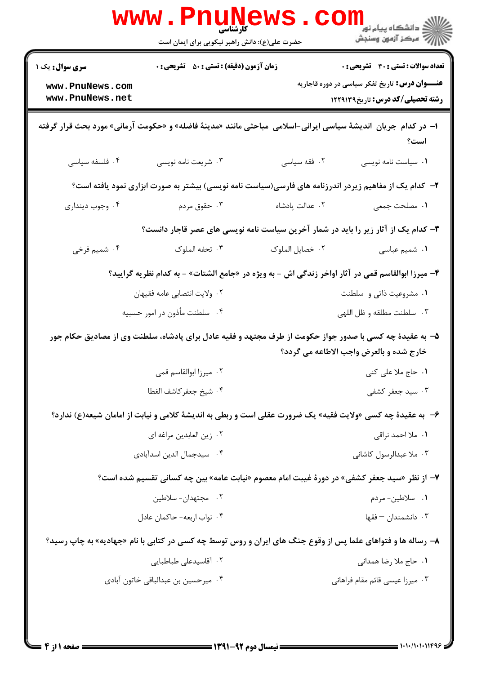|                                                                                             | <b>www.Pnune</b><br><b>کار شناسی</b><br>حضرت علی(ع): دانش راهبر نیکویی برای ایمان است |                                                                                                                 | <sup>ال</sup> ڪ دانشڪاه پيام نور <sup>دا</sup><br>ا∛ مرڪز آزمون وسنجش                            |  |
|---------------------------------------------------------------------------------------------|---------------------------------------------------------------------------------------|-----------------------------------------------------------------------------------------------------------------|--------------------------------------------------------------------------------------------------|--|
| <b>سری سوال :</b> یک ۱                                                                      | <b>زمان آزمون (دقیقه) : تستی : 50 ٪ تشریحی : 0</b>                                    |                                                                                                                 | تعداد سوالات : تستي : 30 ٪ تشريحي : 0                                                            |  |
| www.PnuNews.com<br>www.PnuNews.net                                                          |                                                                                       |                                                                                                                 | <b>عنـــوان درس:</b> تاریخ تفکر سیاسی در دوره قاجاریه<br><b>رشته تحصیلی/کد درس:</b> تاریخ1229139 |  |
|                                                                                             |                                                                                       | ا– در کدام جریان  اندیشهٔ سیاسی ایرانی-اسلامی  مباحثی مانند «مدینهٔ فاضله» و «حکومت آرمانی» مورد بحث قرار گرفته | است؟                                                                                             |  |
| ۰۴ فلسفه سياسى                                                                              | ۰۳ شریعت نامه نویسی                                                                   | ۰۲ فقه سیاسی                                                                                                    | ٠١ سياست نامه نويسي                                                                              |  |
|                                                                                             |                                                                                       | ۲- کدام یک از مفاهیم زیردر اندرزنامه های فارسی(سیاست نامه نویسی) بیشتر به صورت ابزاری نمود یافته است؟           |                                                                                                  |  |
| ۰۴ وجوب دینداری                                                                             | ۰۳ حقوق مردم                                                                          | ٠٢ عدالت پادشاه                                                                                                 | ٠١. مصلحت جمعي                                                                                   |  |
| ۳- کدام یک از آثار زیر را باید در شمار آخرین سیاست نامه نویسی های عصر قاجار دانست؟          |                                                                                       |                                                                                                                 |                                                                                                  |  |
| ۰۴ شمیم فرخی                                                                                | ۰۳ تحفه الملوک                                                                        | ٠٢ خصايل الملوك                                                                                                 | ٠١ شميم عباسى                                                                                    |  |
|                                                                                             |                                                                                       | ۴– میرزا ابوالقاسم قمی در آثار اواخر زندگی اش - به ویژه در «جامع الشتات» - به کدام نظریه گرایید؟                |                                                                                                  |  |
|                                                                                             | ۰۲ ولايت انتصابي عامه فقيهان<br>۰۱ مشروعیت ذاتی و سلطنت                               |                                                                                                                 |                                                                                                  |  |
|                                                                                             | ۰۴ سلطنت مأذون در امور حسبيه                                                          |                                                                                                                 | ۰۳ سلطنت مطلقه و ظل اللهي                                                                        |  |
|                                                                                             |                                                                                       | ۵– به عقیدهٔ چه کسی با صدور جواز حکومت از طرف مجتهد و فقیه عادل برای پادشاه، سلطنت وی از مصادیق حکام جور        | خارج شده و بالعرض واجب الاطاعه می گردد؟                                                          |  |
|                                                                                             | ۰۲ میرزا ابوالقاسم قمی                                                                |                                                                                                                 | ۱. حاج ملا علی کنی                                                                               |  |
|                                                                                             | ۰۴ شيخ جعفر كاشف الغطا                                                                |                                                                                                                 | ۰۳ سید جعفر کشفی                                                                                 |  |
|                                                                                             |                                                                                       | ۶- به عقیدهٔ چه کسی «ولایت فقیه» یک ضرورت عقلی است و ربطی به اندیشهٔ کلامی و نیابت از امامان شیعه(ع) ندارد؟     |                                                                                                  |  |
|                                                                                             | ٠٢ زين العابدين مراغه اي                                                              |                                                                                                                 | ۰۱ ملا احمد نراقی                                                                                |  |
|                                                                                             | ۰۴ سيدجمال الدين اسدآبادي                                                             |                                                                                                                 | ۰۳ ملا عبدالرسول کاشانی                                                                          |  |
| ۷– از نظر «سید جعفر کشفی» در دورهٔ غیبت امام معصوم «نیابت عامه» بین چه کسانی تقسیم شده است؟ |                                                                                       |                                                                                                                 |                                                                                                  |  |
|                                                                                             | ۰۲ مجتهدان- سلاطین                                                                    |                                                                                                                 | 1. سلاطين-مردم                                                                                   |  |
|                                                                                             | ۰۴ نواب اربعه- حاكمان عادل                                                            |                                                                                                                 | ۰۳ دانشمندان – فقها                                                                              |  |
|                                                                                             |                                                                                       | ۸– رساله ها و فتواهای علما پس از وقوع جنگ های ایران و روس توسط چه کسی در کتابی با نام «جهادیه» به چاپ رسید؟     |                                                                                                  |  |
|                                                                                             | ۰۲ آقاسیدعلی طباطبایی                                                                 |                                                                                                                 | ٠١. حاج ملا رضا همداني                                                                           |  |
|                                                                                             | ۰۴ میرحسین بن عبدالباقی خاتون آبادی                                                   |                                                                                                                 | ۰۳ میرزا عیسی قائم مقام فراهانی                                                                  |  |
|                                                                                             |                                                                                       |                                                                                                                 |                                                                                                  |  |
|                                                                                             |                                                                                       |                                                                                                                 |                                                                                                  |  |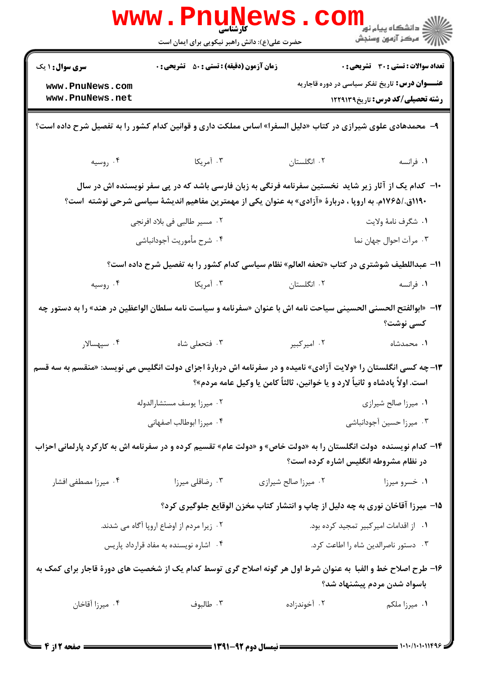| <b>www.PnuNews</b>                                                                                                                                                                                             |                                               |                      |                                                       |  |
|----------------------------------------------------------------------------------------------------------------------------------------------------------------------------------------------------------------|-----------------------------------------------|----------------------|-------------------------------------------------------|--|
|                                                                                                                                                                                                                | حضرت علی(ع): دانش راهبر نیکویی برای ایمان است |                      | ر دانشڪاه پيام نور ■<br>ا∛ مرکز آزمون وسنڊش           |  |
| <b>سری سوال : ۱ یک</b>                                                                                                                                                                                         | زمان آزمون (دقیقه) : تستی : ۵۰٪ تشریحی : ۰    |                      | <b>تعداد سوالات : تستی : 30 ٪ تشریحی : 0</b>          |  |
| www.PnuNews.com<br>www.PnuNews.net                                                                                                                                                                             |                                               |                      | <b>عنـــوان درس:</b> تاریخ تفکر سیاسی در دوره قاجاریه |  |
|                                                                                                                                                                                                                |                                               |                      | رشته تحصیلی/کد درس: تاریخ1۲۲۹۱۳۹                      |  |
| ۹–  محمدهادی علوی شیرازی در کتاب «دلیل السفرا» اساس مملکت داری و قوانین کدام کشور را به تفصیل شرح داده است؟                                                                                                    |                                               |                      |                                                       |  |
| ۰۴ روسیه                                                                                                                                                                                                       | ۰۳ آمریکا                                     | ٠٢ انگلستان          | ٠١ فرانسه                                             |  |
| +ا– کدام یک از آثار زیر شاید ًنخستین سفرنامه فرنگی به زبان فارسی باشد که در پی سفر نویسنده اش در سال<br>۱۱۹۰ق./۱۷۶۵م. به اروپا ، دربارهٔ «آزادی» به عنوان یکی از مهمترین مفاهیم اندیشهٔ سیاسی شرحی نوشته  است؟ |                                               |                      |                                                       |  |
|                                                                                                                                                                                                                | ۰۲ مسیر طالبی فی بلاد افرنجی                  |                      | ٠١ شكرف نامهٔ ولايت                                   |  |
|                                                                                                                                                                                                                | ۰۴ شرح مأموريت آجودانباشي                     |                      | ۰۳ مرآت احوال جهان نما                                |  |
| 11- عبداللطيف شوشتري در كتاب «تحفه العالم» نظام سياسي كدام كشور را به تفصيل شرح داده است؟                                                                                                                      |                                               |                      |                                                       |  |
| ۰۴ روسیه                                                                                                                                                                                                       | ۰۳ آمریکا                                     | ۰۲ انگلستان          | ٠١ فرانسه                                             |  |
| 1۲–  «ابوالفتح الحسنى الحسينى سياحت نامه اش با عنوان «سفرنامه و سياست نامه سلطان الواعظين در هند» را به دستور چه<br>کسی نوشت؟                                                                                  |                                               |                      |                                                       |  |
| ۰۴ سپهسالار                                                                                                                                                                                                    | ۰۳ فتحعلی شاه                                 | ۰۲ امپرکبیر          | ۰۱ محمدشاه                                            |  |
| ۱۳- چه کسی انگلستان را «ولایت آزادی» نامیده و در سفرنامه اش دربارهٔ اجزای دولت انگلیس می نویسد: «منقسم به سه قسم<br>است. اولاً پادشاه و ثانیاً لارد و یا خوانین، ثالثاً کامن یا وکیل عامه مردم»؟               |                                               |                      |                                                       |  |
|                                                                                                                                                                                                                | ۰۲ میرزا یوسف مستشارالدوله                    |                      | ٠١ ميرزا صالح شيرازي                                  |  |
| ۰۴ میرزا ابوطالب اصفهانی                                                                                                                                                                                       |                                               |                      | ۰۳ میرزا حسین آجودانباشی                              |  |
| ۱۴– کدام نویسنده  دولت انگلستان را به «دولت خاص» و «دولت عام» تقسیم کرده و در سفرنامه اش به کارکرد پارلمانی احزاب<br>در نظام مشروطه انگلیس اشاره کرده است؟                                                     |                                               |                      |                                                       |  |
| ۰۴ میرزا مصطفی افشار                                                                                                                                                                                           | ۰۳ رضاقلی میرزا                               | ۰۲ میرزا صالح شیرازی | ۰۱ خسرو میرزا                                         |  |
| ۱۵– میرزا آقاخان نوری به چه دلیل از چاپ و انتشار کتاب مخزن الوقایع جلوگیری کرد؟                                                                                                                                |                                               |                      |                                                       |  |
| ۰۲ زیرا مردم از اوضاع اروپا آگاه می شدند.                                                                                                                                                                      |                                               |                      | ۰۱ از اقدامات امیر کبیر تمجید کرده بود.               |  |
|                                                                                                                                                                                                                | ۰۴ اشاره نویسنده به مفاد قرارداد پاریس        |                      | ٠٣ دستور ناصرالدين شاه را اطاعت كرد.                  |  |
| ۱۶– طرح اصلاح خط و الفبا ًبه عنوان شرط اول هر گونه اصلاح گری توسط کدام یک از شخصیت های دورهٔ قاجار برای کمک به<br>باسواد شدن مردم پیشنهاد شد؟                                                                  |                                               |                      |                                                       |  |
| ۰۴ میرزا آقاخان                                                                                                                                                                                                | ۰۳ طالبوف                                     | ۰۲ آخوندزاده         | ۰۱ میرزا ملکم                                         |  |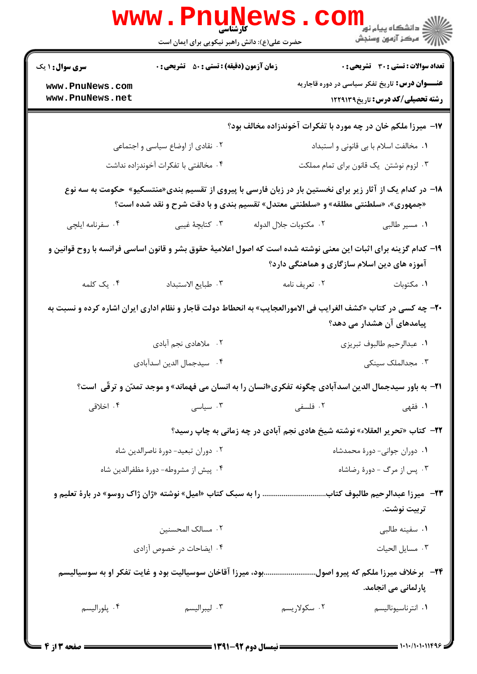| <b>WWW</b>                                                                                                                                                                                    |                        | ر دانشڪاه پيام نور <mark>−</mark><br>ا∛ مرکز آزمون وسنڊش                                                                                                                                                                                                                                                                                                                                                                                                                                                                          |  |  |
|-----------------------------------------------------------------------------------------------------------------------------------------------------------------------------------------------|------------------------|-----------------------------------------------------------------------------------------------------------------------------------------------------------------------------------------------------------------------------------------------------------------------------------------------------------------------------------------------------------------------------------------------------------------------------------------------------------------------------------------------------------------------------------|--|--|
| <b>زمان آزمون (دقیقه) : تستی : 50 ٪ تشریحی : 0</b><br><b>سری سوال : ۱ یک</b>                                                                                                                  |                        | <b>تعداد سوالات : تستی : 30 ٪ تشریحی : 0</b>                                                                                                                                                                                                                                                                                                                                                                                                                                                                                      |  |  |
|                                                                                                                                                                                               |                        | <b>عنـــوان درس:</b> تاریخ تفکر سیاسی در دوره قاجاریه<br><b>رشته تحصیلی/کد درس:</b> تاریخ۱۲۲۹۱۳۹                                                                                                                                                                                                                                                                                                                                                                                                                                  |  |  |
|                                                                                                                                                                                               |                        |                                                                                                                                                                                                                                                                                                                                                                                                                                                                                                                                   |  |  |
| ۰۲ نقادی از اوضاع سیاسی و اجتماعی                                                                                                                                                             |                        | ٠١ مخالفت اسلام با بي قانوني و استبداد                                                                                                                                                                                                                                                                                                                                                                                                                                                                                            |  |  |
| ۰۴ مخالفتی با تفکرات آخوندزاده نداشت                                                                                                                                                          |                        | ۰۳ لزوم نوشتن یک قانون برای تمام مملکت                                                                                                                                                                                                                                                                                                                                                                                                                                                                                            |  |  |
| ۱۸– در کدام یک از آثار زیر برای نخستین بار در زبان فارسی با پیروی از تقسیم بندی«منتسکیو»  حکومت به سه نوع<br>«جمهوری»، «سلطنتی مطلقه» و «سلطنتی معتدل» تقسیم بندی و با دقت شرح و نقد شده است؟ |                        |                                                                                                                                                                                                                                                                                                                                                                                                                                                                                                                                   |  |  |
| ۰۳ کتابچهٔ غیبی                                                                                                                                                                               | ٠٢ مكتوبات جلال الدوله | ٠١ مسير طالبي                                                                                                                                                                                                                                                                                                                                                                                                                                                                                                                     |  |  |
| ۱۹– کدام گزینه برای اثبات این معنی نوشته شده است که اصول اعلامیهٔ حقوق بشر و قانون اساسی فرانسه با روح قوانین و<br>آموزه های دین اسلام سازگاری و هماهنگی دارد؟                                |                        |                                                                                                                                                                                                                                                                                                                                                                                                                                                                                                                                   |  |  |
| ٠٣ طبايع الاستبداد                                                                                                                                                                            | ۰۲ تعریف نامه          | ۰۱ مکتوبات                                                                                                                                                                                                                                                                                                                                                                                                                                                                                                                        |  |  |
|                                                                                                                                                                                               |                        | پیامدهای آن هشدار می دهد؟                                                                                                                                                                                                                                                                                                                                                                                                                                                                                                         |  |  |
| ۰۲ ملاهادی نجم آبادی                                                                                                                                                                          |                        | ٠١ عبدالرحيم طالبوف تبريزي                                                                                                                                                                                                                                                                                                                                                                                                                                                                                                        |  |  |
| ۰۴ سیدجمال الدین اسدآبادی                                                                                                                                                                     |                        | ۰۳ مجدالملک سینکی                                                                                                                                                                                                                                                                                                                                                                                                                                                                                                                 |  |  |
|                                                                                                                                                                                               |                        |                                                                                                                                                                                                                                                                                                                                                                                                                                                                                                                                   |  |  |
| ۰۳ سیاسی                                                                                                                                                                                      | ۲. فلسفی               | ۱. فقهی                                                                                                                                                                                                                                                                                                                                                                                                                                                                                                                           |  |  |
|                                                                                                                                                                                               |                        |                                                                                                                                                                                                                                                                                                                                                                                                                                                                                                                                   |  |  |
| ٠٢ دوران تبعيد- دورة ناصرالدين شاه                                                                                                                                                            |                        | ٠١ دوران جواني- دورة محمدشاه                                                                                                                                                                                                                                                                                                                                                                                                                                                                                                      |  |  |
| ۰۴ پیش از مشروطه- دورهٔ مظفرالدین شاه                                                                                                                                                         |                        | ۰۳ پس از مرگ - دورهٔ رضاشاه                                                                                                                                                                                                                                                                                                                                                                                                                                                                                                       |  |  |
| ۲۳−٪ میرزا عبدالرحیم طالبوف کتاب را به سبک کتاب «امیل» نوشته «ژان ژاک روسو» در بارهٔ تعلیم و<br>تربيت نوشت.                                                                                   |                        |                                                                                                                                                                                                                                                                                                                                                                                                                                                                                                                                   |  |  |
| ٠٢ مسالک المحسنين                                                                                                                                                                             |                        | ۰۱ سفينه طالبي                                                                                                                                                                                                                                                                                                                                                                                                                                                                                                                    |  |  |
| ۰۴ ایضاحات در خصوص آزادی                                                                                                                                                                      |                        | ٠٣ مسايل الحيات                                                                                                                                                                                                                                                                                                                                                                                                                                                                                                                   |  |  |
|                                                                                                                                                                                               |                        | پارلمانی می انجامد.                                                                                                                                                                                                                                                                                                                                                                                                                                                                                                               |  |  |
|                                                                                                                                                                                               |                        |                                                                                                                                                                                                                                                                                                                                                                                                                                                                                                                                   |  |  |
|                                                                                                                                                                                               |                        | حضرت علی(ع): دانش راهبر نیکویی برای ایمان است<br>۱۷- میرزا ملکم خان در چه مورد با تفکرات آخوندزاده مخالف بود؟<br><b>۲۰</b> - چه کسی در کتاب «کشف الغرایب فی الامورالعجایب» به انحطاط دولت قاجار و نظام اداری ایران اشاره کرده و نسبت به<br>21− به باور سیدجمال الدین اسدآبادی چگونه تفکری«انسان را به انسان می فهماند» و موجد تمدّن و ترقّی  است؟<br>۲۲−  کتاب «تحریر العقلاء» نوشته شیخ هادی نجم آبادی در چه زمانی به چاپ رسید؟<br>۲۴–۔ برخلاف میرزا ملکم که پیرو اصولبود، میرزا آقاخان سوسیالیت بود و غایت تفکر او به سوسیالیسم |  |  |